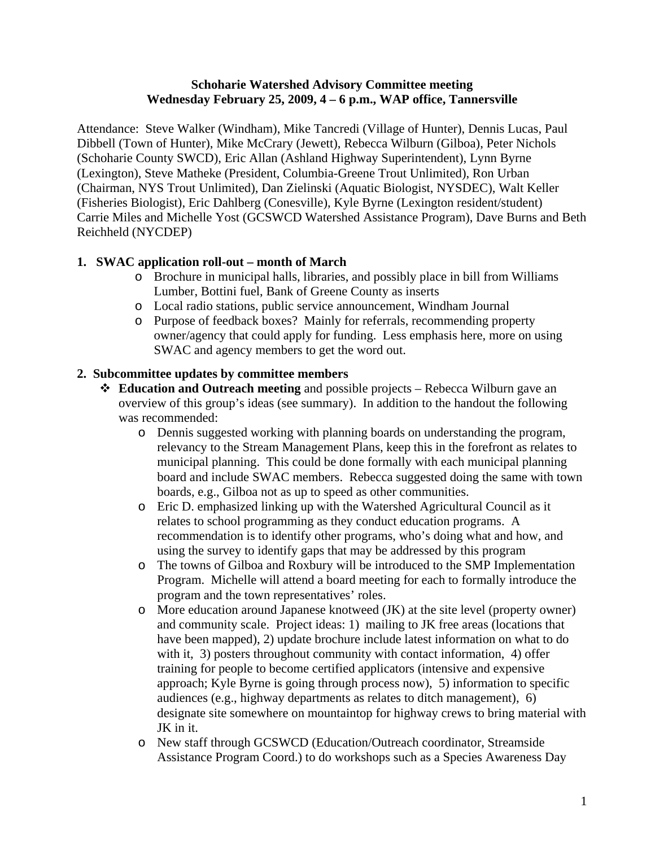## **Schoharie Watershed Advisory Committee meeting Wednesday February 25, 2009, 4 – 6 p.m., WAP office, Tannersville**

Attendance: Steve Walker (Windham), Mike Tancredi (Village of Hunter), Dennis Lucas, Paul Dibbell (Town of Hunter), Mike McCrary (Jewett), Rebecca Wilburn (Gilboa), Peter Nichols (Schoharie County SWCD), Eric Allan (Ashland Highway Superintendent), Lynn Byrne (Lexington), Steve Matheke (President, Columbia-Greene Trout Unlimited), Ron Urban (Chairman, NYS Trout Unlimited), Dan Zielinski (Aquatic Biologist, NYSDEC), Walt Keller (Fisheries Biologist), Eric Dahlberg (Conesville), Kyle Byrne (Lexington resident/student) Carrie Miles and Michelle Yost (GCSWCD Watershed Assistance Program), Dave Burns and Beth Reichheld (NYCDEP)

## **1. SWAC application roll-out – month of March**

- o Brochure in municipal halls, libraries, and possibly place in bill from Williams Lumber, Bottini fuel, Bank of Greene County as inserts
- o Local radio stations, public service announcement, Windham Journal
- o Purpose of feedback boxes? Mainly for referrals, recommending property owner/agency that could apply for funding. Less emphasis here, more on using SWAC and agency members to get the word out.

## **2. Subcommittee updates by committee members**

- **Education and Outreach meeting** and possible projects Rebecca Wilburn gave an overview of this group's ideas (see summary). In addition to the handout the following was recommended:
	- o Dennis suggested working with planning boards on understanding the program, relevancy to the Stream Management Plans, keep this in the forefront as relates to municipal planning. This could be done formally with each municipal planning board and include SWAC members. Rebecca suggested doing the same with town boards, e.g., Gilboa not as up to speed as other communities.
	- o Eric D. emphasized linking up with the Watershed Agricultural Council as it relates to school programming as they conduct education programs. A recommendation is to identify other programs, who's doing what and how, and using the survey to identify gaps that may be addressed by this program
	- o The towns of Gilboa and Roxbury will be introduced to the SMP Implementation Program. Michelle will attend a board meeting for each to formally introduce the program and the town representatives' roles.
	- o More education around Japanese knotweed (JK) at the site level (property owner) and community scale. Project ideas: 1) mailing to JK free areas (locations that have been mapped), 2) update brochure include latest information on what to do with it, 3) posters throughout community with contact information, 4) offer training for people to become certified applicators (intensive and expensive approach; Kyle Byrne is going through process now), 5) information to specific audiences (e.g., highway departments as relates to ditch management), 6) designate site somewhere on mountaintop for highway crews to bring material with JK in it.
	- o New staff through GCSWCD (Education/Outreach coordinator, Streamside Assistance Program Coord.) to do workshops such as a Species Awareness Day